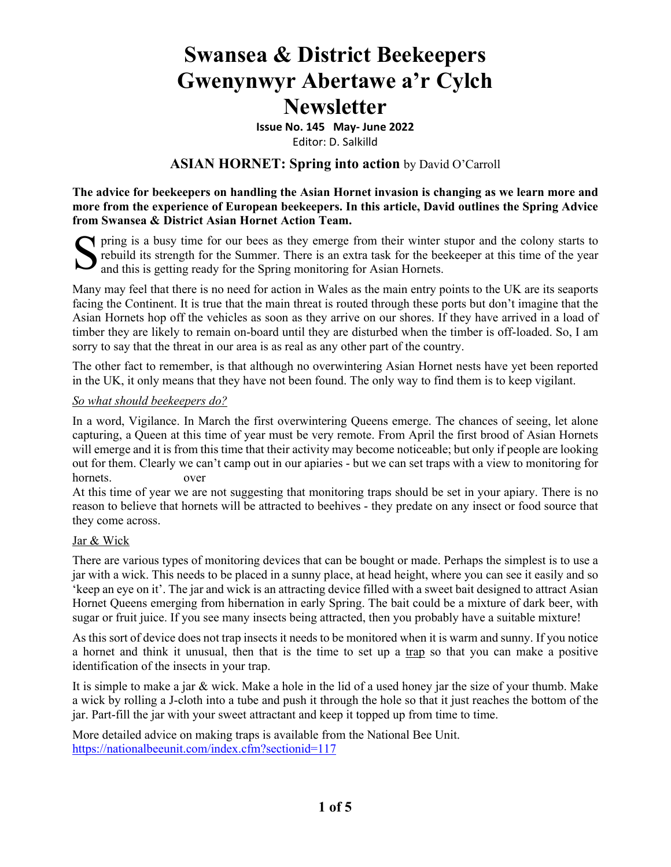# **Swansea & District Beekeepers Gwenynwyr Abertawe a'r Cylch Newsletter**

**Issue No. 145 May‐ June 2022**

Editor: D. Salkilld

#### **ASIAN HORNET: Spring into action** by David O'Carroll

**The advice for beekeepers on handling the Asian Hornet invasion is changing as we learn more and more from the experience of European beekeepers. In this article, David outlines the Spring Advice from Swansea & District Asian Hornet Action Team.**

pring is a busy time for our bees as they emerge from their winter stupor and the colony starts to rebuild its strength for the Summer. There is an extra task for the beekeeper at this time of the year Section pring is a busy time for our bees as they emerge from their winter sprebuild its strength for the Summer. There is an extra task for the bee and this is getting ready for the Spring monitoring for Asian Hornets.

Many may feel that there is no need for action in Wales as the main entry points to the UK are its seaports facing the Continent. It is true that the main threat is routed through these ports but don't imagine that the Asian Hornets hop off the vehicles as soon as they arrive on our shores. If they have arrived in a load of timber they are likely to remain on-board until they are disturbed when the timber is off-loaded. So, I am sorry to say that the threat in our area is as real as any other part of the country.

The other fact to remember, is that although no overwintering Asian Hornet nests have yet been reported in the UK, it only means that they have not been found. The only way to find them is to keep vigilant.

#### *So what should beekeepers do?*

In a word, Vigilance. In March the first overwintering Queens emerge. The chances of seeing, let alone capturing, a Queen at this time of year must be very remote. From April the first brood of Asian Hornets will emerge and it is from this time that their activity may become noticeable; but only if people are looking out for them. Clearly we can't camp out in our apiaries - but we can set traps with a view to monitoring for hornets. over

At this time of year we are not suggesting that monitoring traps should be set in your apiary. There is no reason to believe that hornets will be attracted to beehives - they predate on any insect or food source that they come across.

#### Jar & Wick

There are various types of monitoring devices that can be bought or made. Perhaps the simplest is to use a jar with a wick. This needs to be placed in a sunny place, at head height, where you can see it easily and so 'keep an eye on it'. The jar and wick is an attracting device filled with a sweet bait designed to attract Asian Hornet Queens emerging from hibernation in early Spring. The bait could be a mixture of dark beer, with sugar or fruit juice. If you see many insects being attracted, then you probably have a suitable mixture!

As this sort of device does not trap insects it needs to be monitored when it is warm and sunny. If you notice a hornet and think it unusual, then that is the time to set up a trap so that you can make a positive identification of the insects in your trap.

It is simple to make a jar & wick. Make a hole in the lid of a used honey jar the size of your thumb. Make a wick by rolling a J-cloth into a tube and push it through the hole so that it just reaches the bottom of the jar. Part-fill the jar with your sweet attractant and keep it topped up from time to time.

More detailed advice on making traps is available from the National Bee Unit. https://nationalbeeunit.com/index.cfm?sectionid=117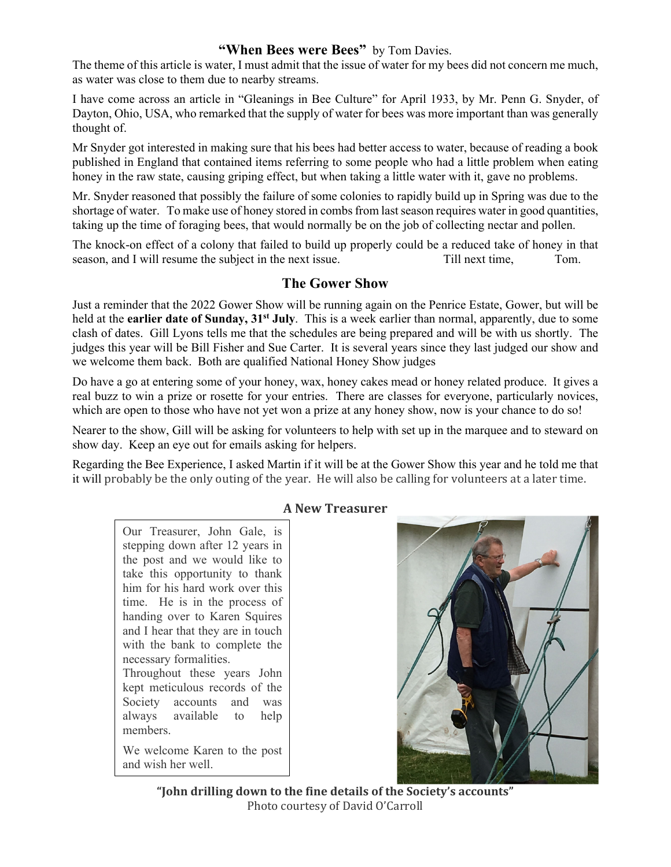## **"When Bees were Bees"** by Tom Davies.

The theme of this article is water, I must admit that the issue of water for my bees did not concern me much, as water was close to them due to nearby streams.

I have come across an article in "Gleanings in Bee Culture" for April 1933, by Mr. Penn G. Snyder, of Dayton, Ohio, USA, who remarked that the supply of water for bees was more important than was generally thought of.

Mr Snyder got interested in making sure that his bees had better access to water, because of reading a book published in England that contained items referring to some people who had a little problem when eating honey in the raw state, causing griping effect, but when taking a little water with it, gave no problems.

Mr. Snyder reasoned that possibly the failure of some colonies to rapidly build up in Spring was due to the shortage of water. To make use of honey stored in combs from last season requires water in good quantities, taking up the time of foraging bees, that would normally be on the job of collecting nectar and pollen.

The knock-on effect of a colony that failed to build up properly could be a reduced take of honey in that season, and I will resume the subject in the next issue. Till next time, Tom.

#### **The Gower Show**

Just a reminder that the 2022 Gower Show will be running again on the Penrice Estate, Gower, but will be held at the **earlier date of Sunday, 31st July**. This is a week earlier than normal, apparently, due to some clash of dates. Gill Lyons tells me that the schedules are being prepared and will be with us shortly. The judges this year will be Bill Fisher and Sue Carter. It is several years since they last judged our show and we welcome them back. Both are qualified National Honey Show judges

Do have a go at entering some of your honey, wax, honey cakes mead or honey related produce. It gives a real buzz to win a prize or rosette for your entries. There are classes for everyone, particularly novices, which are open to those who have not yet won a prize at any honey show, now is your chance to do so!

Nearer to the show, Gill will be asking for volunteers to help with set up in the marquee and to steward on show day. Keep an eye out for emails asking for helpers.

Regarding the Bee Experience, I asked Martin if it will be at the Gower Show this year and he told me that it will probably be the only outing of the year. He will also be calling for volunteers at a later time.

#### **A New Treasurer**

Our Treasurer, John Gale, is stepping down after 12 years in the post and we would like to take this opportunity to thank him for his hard work over this time. He is in the process of handing over to Karen Squires and I hear that they are in touch with the bank to complete the necessary formalities. Throughout these years John kept meticulous records of the Society accounts and was always available to help members.

We welcome Karen to the post and wish her well.



**"John drilling down to the fine details of the Society's accounts"** Photo courtesy of David O'Carroll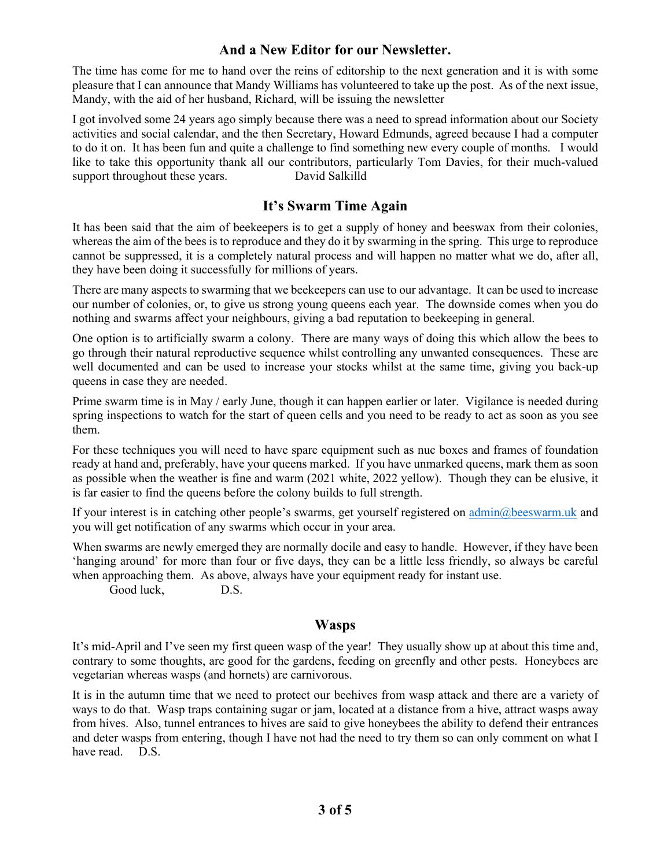### **And a New Editor for our Newsletter.**

The time has come for me to hand over the reins of editorship to the next generation and it is with some pleasure that I can announce that Mandy Williams has volunteered to take up the post. As of the next issue, Mandy, with the aid of her husband, Richard, will be issuing the newsletter

I got involved some 24 years ago simply because there was a need to spread information about our Society activities and social calendar, and the then Secretary, Howard Edmunds, agreed because I had a computer to do it on. It has been fun and quite a challenge to find something new every couple of months. I would like to take this opportunity thank all our contributors, particularly Tom Davies, for their much-valued support throughout these years. David Salkilld

# **It's Swarm Time Again**

It has been said that the aim of beekeepers is to get a supply of honey and beeswax from their colonies, whereas the aim of the bees is to reproduce and they do it by swarming in the spring. This urge to reproduce cannot be suppressed, it is a completely natural process and will happen no matter what we do, after all, they have been doing it successfully for millions of years.

There are many aspects to swarming that we beekeepers can use to our advantage. It can be used to increase our number of colonies, or, to give us strong young queens each year. The downside comes when you do nothing and swarms affect your neighbours, giving a bad reputation to beekeeping in general.

One option is to artificially swarm a colony. There are many ways of doing this which allow the bees to go through their natural reproductive sequence whilst controlling any unwanted consequences. These are well documented and can be used to increase your stocks whilst at the same time, giving you back-up queens in case they are needed.

Prime swarm time is in May / early June, though it can happen earlier or later. Vigilance is needed during spring inspections to watch for the start of queen cells and you need to be ready to act as soon as you see them.

For these techniques you will need to have spare equipment such as nuc boxes and frames of foundation ready at hand and, preferably, have your queens marked. If you have unmarked queens, mark them as soon as possible when the weather is fine and warm (2021 white, 2022 yellow). Though they can be elusive, it is far easier to find the queens before the colony builds to full strength.

If your interest is in catching other people's swarms, get yourself registered on admin@beeswarm.uk and you will get notification of any swarms which occur in your area.

When swarms are newly emerged they are normally docile and easy to handle. However, if they have been 'hanging around' for more than four or five days, they can be a little less friendly, so always be careful when approaching them. As above, always have your equipment ready for instant use.

Good luck, D.S.

# **Wasps**

It's mid-April and I've seen my first queen wasp of the year! They usually show up at about this time and, contrary to some thoughts, are good for the gardens, feeding on greenfly and other pests. Honeybees are vegetarian whereas wasps (and hornets) are carnivorous.

It is in the autumn time that we need to protect our beehives from wasp attack and there are a variety of ways to do that. Wasp traps containing sugar or jam, located at a distance from a hive, attract wasps away from hives. Also, tunnel entrances to hives are said to give honeybees the ability to defend their entrances and deter wasps from entering, though I have not had the need to try them so can only comment on what I have read. D.S.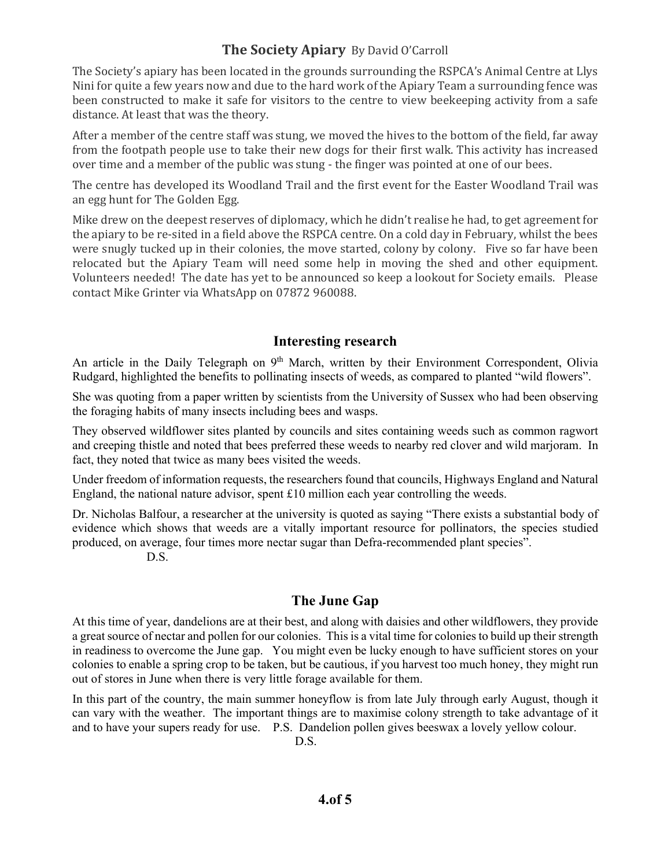# **The Society Apiary** By David O'Carroll

The Society's apiary has been located in the grounds surrounding the RSPCA's Animal Centre at Llys Nini for quite a few years now and due to the hard work of the Apiary Team a surrounding fence was been constructed to make it safe for visitors to the centre to view beekeeping activity from a safe distance. At least that was the theory.

After a member of the centre staff was stung, we moved the hives to the bottom of the field, far away from the footpath people use to take their new dogs for their first walk. This activity has increased over time and a member of the public was stung - the finger was pointed at one of our bees.

The centre has developed its Woodland Trail and the first event for the Easter Woodland Trail was an egg hunt for The Golden Egg.

Mike drew on the deepest reserves of diplomacy, which he didn't realise he had, to get agreement for the apiary to be re-sited in a field above the RSPCA centre. On a cold day in February, whilst the bees were snugly tucked up in their colonies, the move started, colony by colony. Five so far have been relocated but the Apiary Team will need some help in moving the shed and other equipment. Volunteers needed! The date has yet to be announced so keep a lookout for Society emails. Please contact Mike Grinter via WhatsApp on 07872 960088.

#### **Interesting research**

An article in the Daily Telegraph on 9<sup>th</sup> March, written by their Environment Correspondent, Olivia Rudgard, highlighted the benefits to pollinating insects of weeds, as compared to planted "wild flowers".

She was quoting from a paper written by scientists from the University of Sussex who had been observing the foraging habits of many insects including bees and wasps.

They observed wildflower sites planted by councils and sites containing weeds such as common ragwort and creeping thistle and noted that bees preferred these weeds to nearby red clover and wild marjoram. In fact, they noted that twice as many bees visited the weeds.

Under freedom of information requests, the researchers found that councils, Highways England and Natural England, the national nature advisor, spent £10 million each year controlling the weeds.

Dr. Nicholas Balfour, a researcher at the university is quoted as saying "There exists a substantial body of evidence which shows that weeds are a vitally important resource for pollinators, the species studied produced, on average, four times more nectar sugar than Defra-recommended plant species".

D.S.

# **The June Gap**

At this time of year, dandelions are at their best, and along with daisies and other wildflowers, they provide a great source of nectar and pollen for our colonies. This is a vital time for colonies to build up their strength in readiness to overcome the June gap. You might even be lucky enough to have sufficient stores on your colonies to enable a spring crop to be taken, but be cautious, if you harvest too much honey, they might run out of stores in June when there is very little forage available for them.

In this part of the country, the main summer honeyflow is from late July through early August, though it can vary with the weather. The important things are to maximise colony strength to take advantage of it and to have your supers ready for use. P.S. Dandelion pollen gives beeswax a lovely yellow colour. D.S.